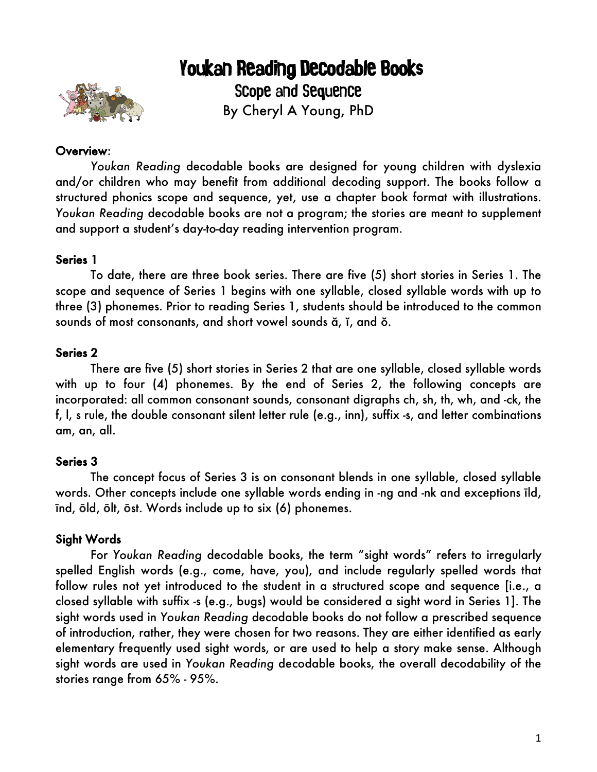# Youkan Reading Decodable Books



Scope and Sequence By Cheryl A Young, PhD

## Overview:

*Youkan Reading* decodable books are designed for young children with dyslexia and/or children who may benefit from additional decoding support. The books follow a structured phonics scope and sequence, yet, use a chapter book format with illustrations. *Youkan Reading* decodable books are not a program; the stories are meant to supplement and support a student's day-to-day reading intervention program.

### Series 1

To date, there are three book series. There are five (5) short stories in Series 1. The scope and sequence of Series 1 begins with one syllable, closed syllable words with up to three (3) phonemes. Prior to reading Series 1, students should be introduced to the common sounds of most consonants, and short vowel sounds ă, ĭ, and ŏ.

## Series 2

There are five (5) short stories in Series 2 that are one syllable, closed syllable words with up to four (4) phonemes. By the end of Series 2, the following concepts are incorporated: all common consonant sounds, consonant digraphs ch, sh, th, wh, and -ck, the f, l, s rule, the double consonant silent letter rule (e.g., inn), suffix -s, and letter combinations am, an, all.

## Series 3

The concept focus of Series 3 is on consonant blends in one syllable, closed syllable words. Other concepts include one syllable words ending in -ng and -nk and exceptions **ī**ld, **ī**nd, **ō**ld, **ō**lt, **ō**st. Words include up to six (6) phonemes.

## Sight Words

For *Youkan Reading* decodable books, the term "sight words" refers to irregularly spelled English words (e.g., come, have, you), and include regularly spelled words that follow rules not yet introduced to the student in a structured scope and sequence [i.e., a closed syllable with suffix -s (e.g., bugs) would be considered a sight word in Series 1]. The sight words used in *Youkan Reading* decodable books do not follow a prescribed sequence of introduction, rather, they were chosen for two reasons. They are either identified as early elementary frequently used sight words, or are used to help a story make sense. Although sight words are used in *Youkan Reading* decodable books, the overall decodability of the stories range from 65% - 95%.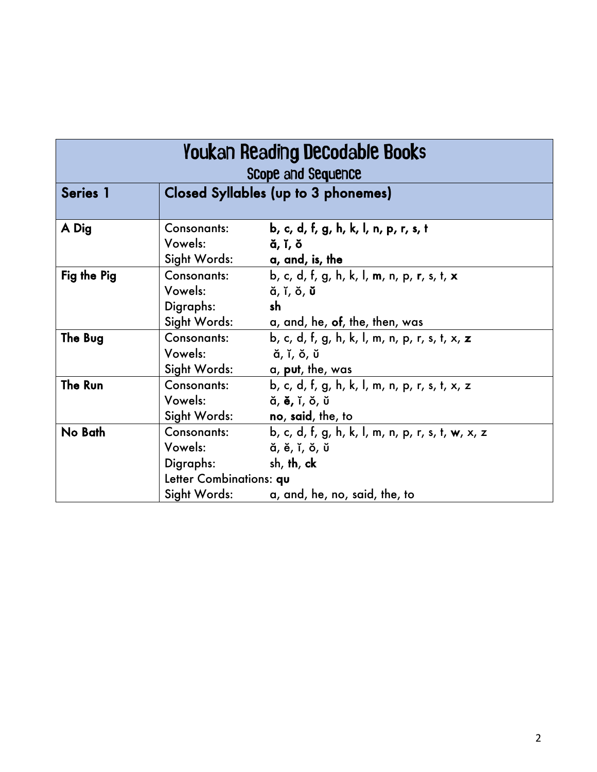| <b>Youkan Reading Decodable Books</b><br>Scope and Sequence |                                                                                       |                                                                                                                   |  |  |
|-------------------------------------------------------------|---------------------------------------------------------------------------------------|-------------------------------------------------------------------------------------------------------------------|--|--|
| Series 1                                                    | <b>Closed Syllables (up to 3 phonemes)</b>                                            |                                                                                                                   |  |  |
| A Dig                                                       | Consonants:<br>Vowels:<br>Sight Words:                                                | b, c, d, f, g, h, k, l, n, p, r, s, t<br>ă, ĭ, ŏ<br>a, and, is, the                                               |  |  |
| Fig the Pig                                                 | <b>Consonants:</b><br>Vowels:<br>Digraphs:<br>Sight Words:                            | b, c, d, f, g, h, k, l, m, n, p, r, s, t, x<br>ă, ĭ, ŏ, <b>ŭ</b><br>sh<br>a, and, he, of, the, then, was          |  |  |
| The Bug                                                     | Consonants:<br>Vowels:<br>Sight Words:                                                | b, c, d, f, g, h, k, l, m, n, p, r, s, t, x, z<br>ă, ĭ, ŏ, ŭ<br>a, put, the, was                                  |  |  |
| The Run                                                     | <b>Consonants:</b><br>Vowels:<br>Sight Words:                                         | b, c, d, f, g, h, k, l, m, n, p, r, s, t, x, z<br>ă, <b>ĕ,</b> ĭ, ŏ, ŭ<br>no, said, the, to                       |  |  |
| No Bath                                                     | <b>Consonants:</b><br>Vowels:<br>Digraphs:<br>Letter Combinations: qu<br>Sight Words: | b, c, d, f, g, h, k, l, m, n, p, r, s, t, w, x, z<br>ă, ĕ, ĭ, ŏ, ŭ<br>sh, th, ck<br>a, and, he, no, said, the, to |  |  |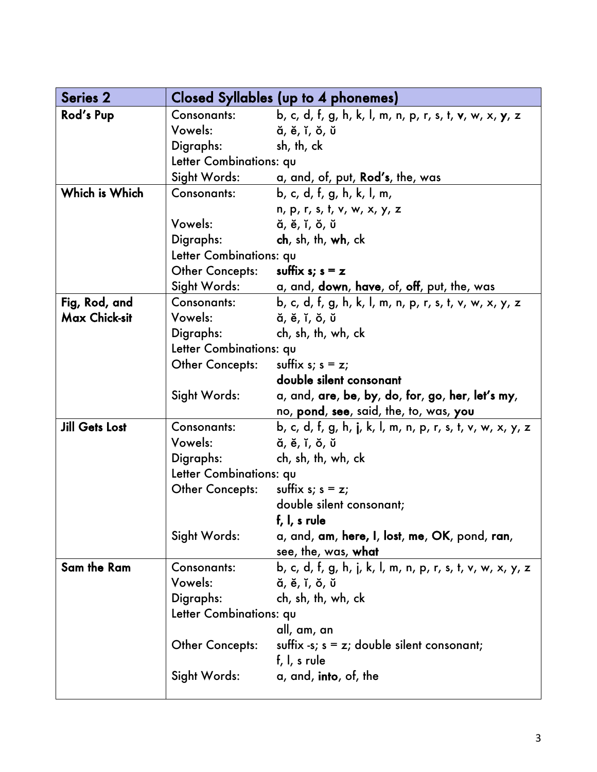| <b>Series 2</b>       |                         | <b>Closed Syllables (up to 4 phonemes)</b>                 |  |
|-----------------------|-------------------------|------------------------------------------------------------|--|
| Rod's Pup             | <b>Consonants:</b>      | b, c, d, f, g, h, k, l, m, n, p, r, s, t, v, w, x, y, z    |  |
|                       | Vowels:                 | ă, ě, ĭ, ŏ, ŭ                                              |  |
|                       | Digraphs:               | sh, th, ck                                                 |  |
|                       | Letter Combinations: qu |                                                            |  |
|                       | Sight Words:            | a, and, of, put, Rod's, the, was                           |  |
| Which is Which        | <b>Consonants:</b>      | b, c, d, f, g, h, k, l, m,                                 |  |
|                       |                         | n, p, r, s, t, v, w, x, y, z                               |  |
|                       | Vowels:                 | ă, ĕ, ĭ, ŏ, ŭ                                              |  |
|                       | Digraphs:               | ch, sh, th, wh, ck                                         |  |
|                       | Letter Combinations: qu |                                                            |  |
|                       | <b>Other Concepts:</b>  | suffix $s; s = z$                                          |  |
|                       | Sight Words:            | a, and, down, have, of, off, put, the, was                 |  |
| Fig, Rod, and         | <b>Consonants:</b>      | b, c, d, f, g, h, k, l, m, n, p, r, s, t, v, w, x, y, z    |  |
| <b>Max Chick-sit</b>  | Vowels:                 | ă, ĕ, ĭ, ŏ, ŭ                                              |  |
|                       | Digraphs:               | ch, sh, th, wh, ck                                         |  |
|                       | Letter Combinations: qu |                                                            |  |
|                       | <b>Other Concepts:</b>  | suffix $s; s = z;$                                         |  |
|                       |                         | double silent consonant                                    |  |
|                       | Sight Words:            | a, and, are, be, by, do, for, go, her, let's my,           |  |
|                       |                         | no, pond, see, said, the, to, was, you                     |  |
| <b>Jill Gets Lost</b> | <b>Consonants:</b>      | b, c, d, f, g, h, j, k, l, m, n, p, r, s, t, v, w, x, y, z |  |
|                       | Vowels:                 | ă, ě, ĭ, ŏ, ŭ                                              |  |
|                       | Digraphs:               | ch, sh, th, wh, ck                                         |  |
|                       | Letter Combinations: qu |                                                            |  |
|                       | <b>Other Concepts:</b>  | suffix $s; s = z;$                                         |  |
|                       |                         | double silent consonant;                                   |  |
|                       |                         | $f, I, s$ rule                                             |  |
|                       | Sight Words:            | a, and, am, here, I, lost, me, OK, pond, ran,              |  |
|                       |                         | see, the, was, what                                        |  |
| Sam the Ram           | <b>Consonants:</b>      | b, c, d, f, g, h, j, k, l, m, n, p, r, s, t, v, w, x, y, z |  |
|                       | Vowels:                 | ă, ĕ, ĭ, ŏ, ŭ                                              |  |
|                       | Digraphs:               | ch, sh, th, wh, ck                                         |  |
|                       | Letter Combinations: qu |                                                            |  |
|                       |                         | all, am, an                                                |  |
|                       | <b>Other Concepts:</b>  | suffix -s; $s = z$ ; double silent consonant;              |  |
|                       |                         | $f, l, s$ rule                                             |  |
|                       | Sight Words:            | a, and, into, of, the                                      |  |
|                       |                         |                                                            |  |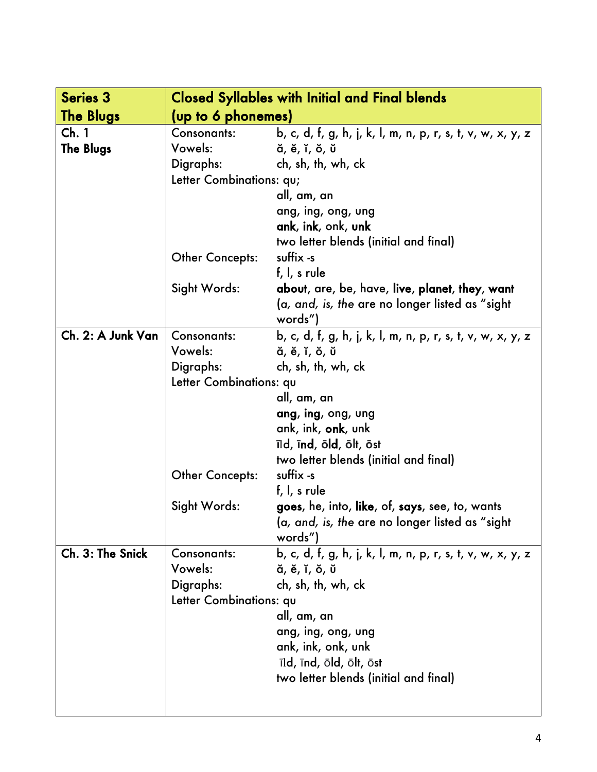| <b>Series 3</b>   | <b>Closed Syllables with Initial and Final blends</b> |                                                            |  |
|-------------------|-------------------------------------------------------|------------------------------------------------------------|--|
| <b>The Blugs</b>  | (up to 6 phonemes)                                    |                                                            |  |
| Ch.1              | <b>Consonants:</b>                                    | b, c, d, f, g, h, j, k, l, m, n, p, r, s, t, v, w, x, y, z |  |
| <b>The Blugs</b>  | Vowels:                                               | ă, ĕ, ĭ, ŏ, ŭ                                              |  |
|                   | Digraphs:                                             | ch, sh, th, wh, ck                                         |  |
|                   | Letter Combinations: qu;                              |                                                            |  |
|                   |                                                       | all, am, an                                                |  |
|                   |                                                       | ang, ing, ong, ung                                         |  |
|                   |                                                       | ank, ink, onk, unk                                         |  |
|                   |                                                       | two letter blends (initial and final)                      |  |
|                   | <b>Other Concepts:</b>                                | suffix -s                                                  |  |
|                   |                                                       | $f, l, s$ rule                                             |  |
|                   | Sight Words:                                          | about, are, be, have, live, planet, they, want             |  |
|                   |                                                       | (a, and, is, the are no longer listed as "sight            |  |
|                   |                                                       | words")                                                    |  |
| Ch. 2: A Junk Van | <b>Consonants:</b>                                    | b, c, d, f, g, h, j, k, l, m, n, p, r, s, t, v, w, x, y, z |  |
|                   | Vowels:                                               | ă, ĕ, ĭ, ŏ, ŭ                                              |  |
|                   | Digraphs:                                             | ch, sh, th, wh, ck                                         |  |
|                   | Letter Combinations: qu                               |                                                            |  |
|                   |                                                       | all, am, an                                                |  |
|                   |                                                       | ang, ing, ong, ung<br>ank, ink, onk, unk                   |  |
|                   |                                                       | īld, īnd, ōld, ōlt, ōst                                    |  |
|                   |                                                       | two letter blends (initial and final)                      |  |
|                   | <b>Other Concepts:</b>                                | suffix -s                                                  |  |
|                   |                                                       | f, I, s rule                                               |  |
|                   | Sight Words:                                          | goes, he, into, like, of, says, see, to, wants             |  |
|                   |                                                       | (a, and, is, the are no longer listed as "sight            |  |
|                   |                                                       | words")                                                    |  |
| Ch. 3: The Snick  | <b>Consonants:</b>                                    | b, c, d, f, g, h, j, k, l, m, n, p, r, s, t, v, w, x, y, z |  |
|                   | Vowels:                                               | ă, ĕ, ĭ, ŏ, ŭ                                              |  |
|                   | Digraphs:                                             | ch, sh, th, wh, ck                                         |  |
|                   | Letter Combinations: qu                               |                                                            |  |
|                   |                                                       | all, am, an                                                |  |
|                   |                                                       | ang, ing, ong, ung                                         |  |
|                   |                                                       | ank, ink, onk, unk                                         |  |
|                   |                                                       | īld, īnd, ōld, ōlt, ōst                                    |  |
|                   |                                                       | two letter blends (initial and final)                      |  |
|                   |                                                       |                                                            |  |
|                   |                                                       |                                                            |  |